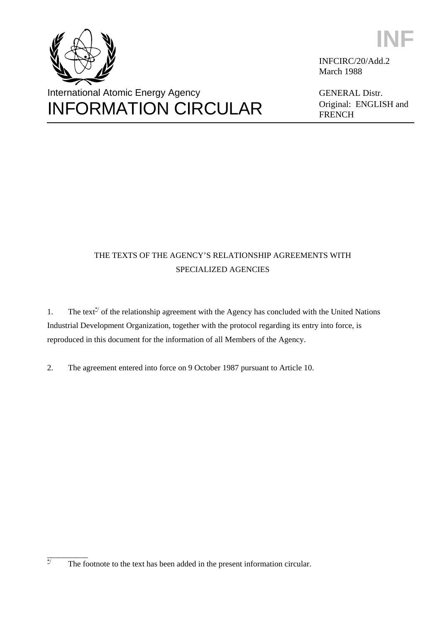



INFCIRC/20/Add.2 March 1988

GENERAL Distr. Original: ENGLISH and FRENCH

# THE TEXTS OF THE AGENCY'S RELATIONSHIP AGREEMENTS WITH SPECIALIZED AGENCIES

1. The text<sup> $*$ </sup> of the relationship agreement with the Agency has concluded with the United Nations Industrial Development Organization, together with the protocol regarding its entry into force, is reproduced in this document for the information of all Members of the Agency.

2. The agreement entered into force on 9 October 1987 pursuant to Article 10.

\_\_\_\_\_\_\_\_\_\_ \*/ The footnote to the text has been added in the present information circular.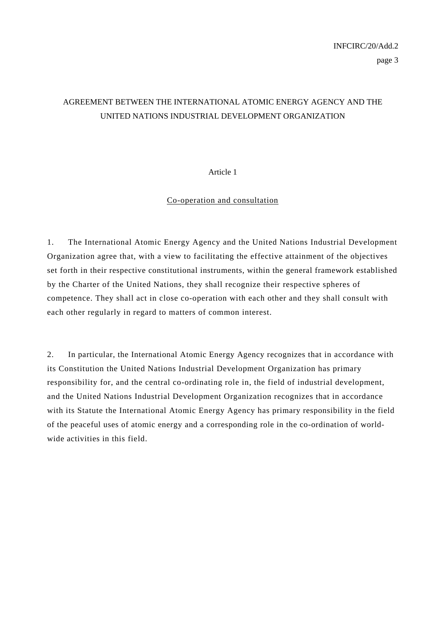# AGREEMENT BETWEEN THE INTERNATIONAL ATOMIC ENERGY AGENCY AND THE UNITED NATIONS INDUSTRIAL DEVELOPMENT ORGANIZATION

#### Article 1

#### Co-operation and consultation

1. The International Atomic Energy Agency and the United Nations Industrial Development Organization agree that, with a view to facilitating the effective attainment of the objectives set forth in their respective constitutional instruments, within the general framework established by the Charter of the United Nations, they shall recognize their respective spheres of competence. They shall act in close co-operation with each other and they shall consult with each other regularly in regard to matters of common interest.

2. In particular, the International Atomic Energy Agency recognizes that in accordance with its Constitution the United Nations Industrial Development Organization has primary responsibility for, and the central co-ordinating role in, the field of industrial development, and the United Nations Industrial Development Organization recognizes that in accordance with its Statute the International Atomic Energy Agency has primary responsibility in the field of the peaceful uses of atomic energy and a corresponding role in the co-ordination of worldwide activities in this field.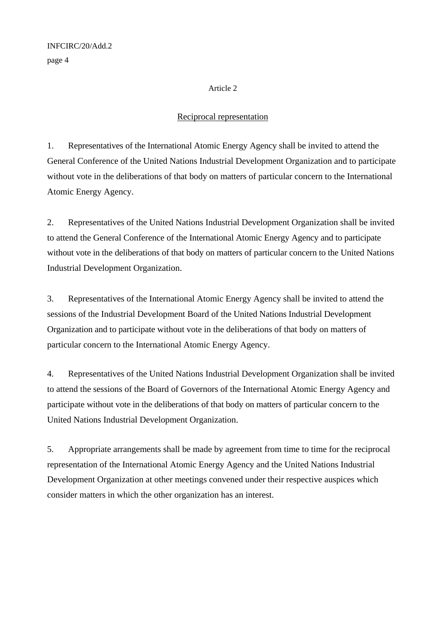page 4

#### Article 2

## Reciprocal representation

1. Representatives of the International Atomic Energy Agency shall be invited to attend the General Conference of the United Nations Industrial Development Organization and to participate without vote in the deliberations of that body on matters of particular concern to the International Atomic Energy Agency.

2. Representatives of the United Nations Industrial Development Organization shall be invited to attend the General Conference of the International Atomic Energy Agency and to participate without vote in the deliberations of that body on matters of particular concern to the United Nations Industrial Development Organization.

3. Representatives of the International Atomic Energy Agency shall be invited to attend the sessions of the Industrial Development Board of the United Nations Industrial Development Organization and to participate without vote in the deliberations of that body on matters of particular concern to the International Atomic Energy Agency.

4. Representatives of the United Nations Industrial Development Organization shall be invited to attend the sessions of the Board of Governors of the International Atomic Energy Agency and participate without vote in the deliberations of that body on matters of particular concern to the United Nations Industrial Development Organization.

5. Appropriate arrangements shall be made by agreement from time to time for the reciprocal representation of the International Atomic Energy Agency and the United Nations Industrial Development Organization at other meetings convened under their respective auspices which consider matters in which the other organization has an interest.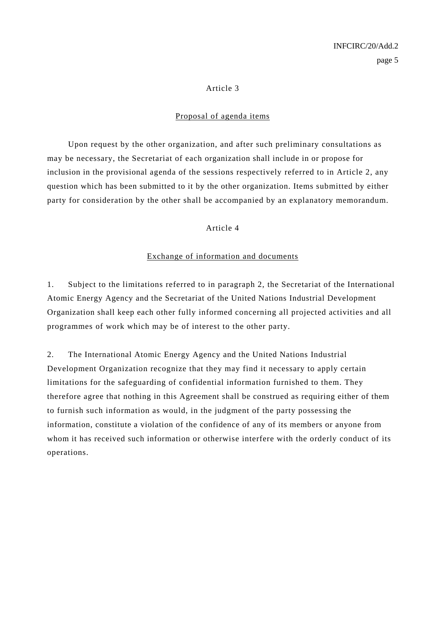#### Article 3

#### Proposal of agenda items

 Upon request by the other organization, and after such preliminary consultations as may be necessary, the Secretariat of each organization shall include in or propose for inclusion in the provisional agenda of the sessions respectively referred to in Article 2, any question which has been submitted to it by the other organization. Items submitted by either party for consideration by the other shall be accompanied by an explanatory memorandum.

#### Article 4

#### Exchange of information and documents

1. Subject to the limitations referred to in paragraph 2, the Secretariat of the International Atomic Energy Agency and the Secretariat of the United Nations Industrial Development Organization shall keep each other fully informed concerning all projected activities and all programmes of work which may be of interest to the other party.

2. The International Atomic Energy Agency and the United Nations Industrial Development Organization recognize that they may find it necessary to apply certain limitations for the safeguarding of confidential information furnished to them. They therefore agree that nothing in this Agreement shall be construed as requiring either of them to furnish such information as would, in the judgment of the party possessing the information, constitute a violation of the confidence of any of its members or anyone from whom it has received such information or otherwise interfere with the orderly conduct of its operations.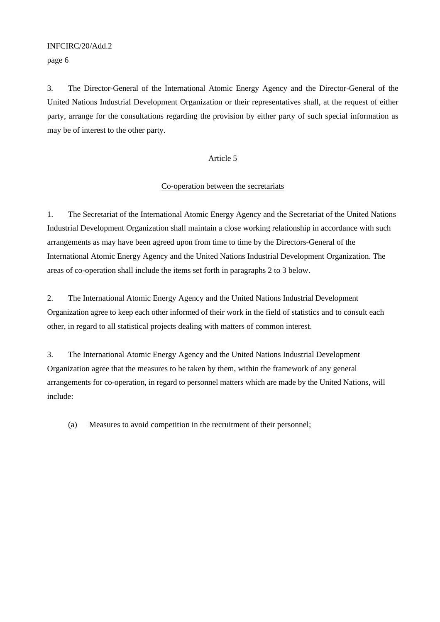#### INFCIRC/20/Add.2

page 6

3. The Director-General of the International Atomic Energy Agency and the Director-General of the United Nations Industrial Development Organization or their representatives shall, at the request of either party, arrange for the consultations regarding the provision by either party of such special information as may be of interest to the other party.

#### Article 5

#### Co-operation between the secretariats

1. The Secretariat of the International Atomic Energy Agency and the Secretariat of the United Nations Industrial Development Organization shall maintain a close working relationship in accordance with such arrangements as may have been agreed upon from time to time by the Directors-General of the International Atomic Energy Agency and the United Nations Industrial Development Organization. The areas of co-operation shall include the items set forth in paragraphs 2 to 3 below.

2. The International Atomic Energy Agency and the United Nations Industrial Development Organization agree to keep each other informed of their work in the field of statistics and to consult each other, in regard to all statistical projects dealing with matters of common interest.

3. The International Atomic Energy Agency and the United Nations Industrial Development Organization agree that the measures to be taken by them, within the framework of any general arrangements for co-operation, in regard to personnel matters which are made by the United Nations, will include:

(a) Measures to avoid competition in the recruitment of their personnel;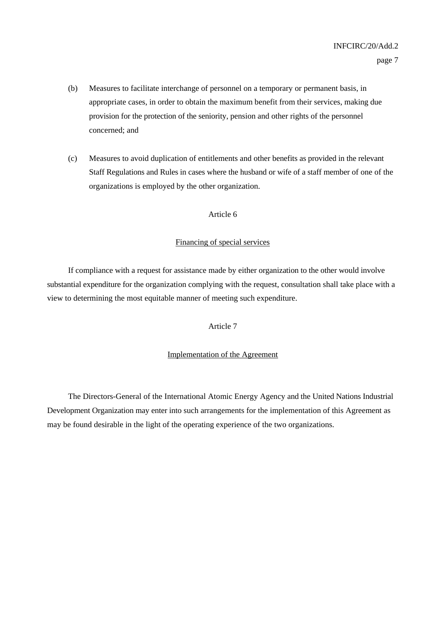- (b) Measures to facilitate interchange of personnel on a temporary or permanent basis, in appropriate cases, in order to obtain the maximum benefit from their services, making due provision for the protection of the seniority, pension and other rights of the personnel concerned; and
- (c) Measures to avoid duplication of entitlements and other benefits as provided in the relevant Staff Regulations and Rules in cases where the husband or wife of a staff member of one of the organizations is employed by the other organization.

#### Article 6

#### Financing of special services

 If compliance with a request for assistance made by either organization to the other would involve substantial expenditure for the organization complying with the request, consultation shall take place with a view to determining the most equitable manner of meeting such expenditure.

#### Article 7

#### Implementation of the Agreement

 The Directors-General of the International Atomic Energy Agency and the United Nations Industrial Development Organization may enter into such arrangements for the implementation of this Agreement as may be found desirable in the light of the operating experience of the two organizations.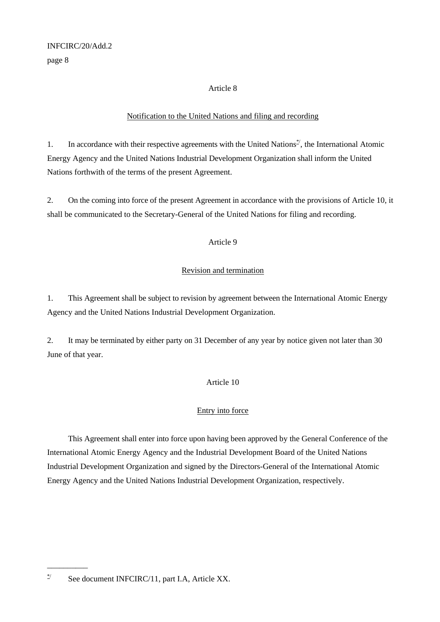page 8

#### Article 8

## Notification to the United Nations and filing and recording

1. In accordance with their respective agreements with the United Nations<sup>\*</sup>, the International Atomic Energy Agency and the United Nations Industrial Development Organization shall inform the United Nations forthwith of the terms of the present Agreement.

2. On the coming into force of the present Agreement in accordance with the provisions of Article 10, it shall be communicated to the Secretary-General of the United Nations for filing and recording.

## Article 9

## Revision and termination

1. This Agreement shall be subject to revision by agreement between the International Atomic Energy Agency and the United Nations Industrial Development Organization.

2. It may be terminated by either party on 31 December of any year by notice given not later than 30 June of that year.

#### Article 10

## Entry into force

 This Agreement shall enter into force upon having been approved by the General Conference of the International Atomic Energy Agency and the Industrial Development Board of the United Nations Industrial Development Organization and signed by the Directors-General of the International Atomic Energy Agency and the United Nations Industrial Development Organization, respectively.

\_\_\_\_\_\_\_\_\_\_

<sup>\*/</sup> See document INFCIRC/11, part I.A, Article XX.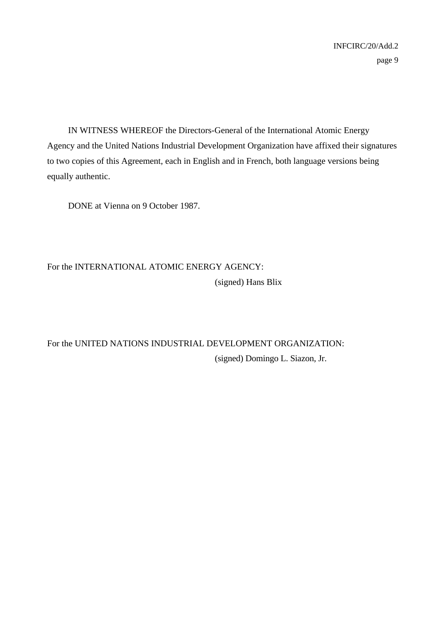IN WITNESS WHEREOF the Directors-General of the International Atomic Energy Agency and the United Nations Industrial Development Organization have affixed their signatures to two copies of this Agreement, each in English and in French, both language versions being equally authentic.

DONE at Vienna on 9 October 1987.

# For the INTERNATIONAL ATOMIC ENERGY AGENCY: (signed) Hans Blix

For the UNITED NATIONS INDUSTRIAL DEVELOPMENT ORGANIZATION: (signed) Domingo L. Siazon, Jr.